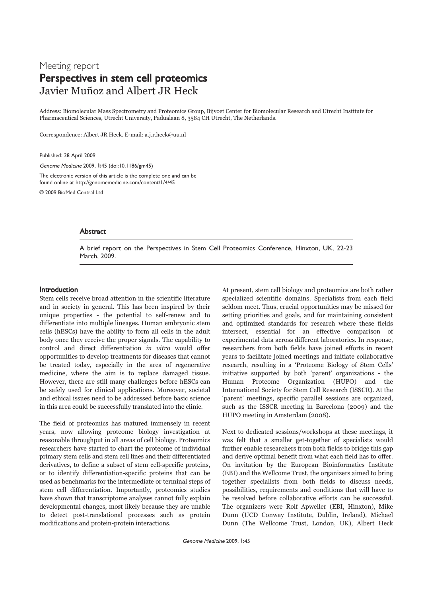# Meeting report Perspectives in stem cell proteomics Javier Muñoz and Albert JR Heck

Address: Biomolecular Mass Spectrometry and Proteomics Group, Bijvoet Center for Biomolecular Research and Utrecht Institute for Pharmaceutical Sciences, Utrecht University, Padualaan 8, 3584 CH Utrecht, The Netherlands.

Correspondence: Albert JR Heck. E-mail: a.j.r.heck@uu.nl

Published: 28 April 2009

Genome Medicine 2009, 1:45 (doi:10.1186/gm45)

The electronic version of this article is the complete one and can be found online at http://genomemedicine.com/content/1/4/45

© 2009 BioMed Central Ltd

# **Abstract**

A brief report on the Perspectives in Stem Cell Proteomics Conference, Hinxton, UK, 22-23 March, 2009.

## Introduction

Stem cells receive broad attention in the scientific literature and in society in general. This has been inspired by their unique properties - the potential to self-renew and to differentiate into multiple lineages. Human embryonic stem cells (hESCs) have the ability to form all cells in the adult body once they receive the proper signals. The capability to control and direct differentiation in vitro would offer opportunities to develop treatments for diseases that cannot be treated today, especially in the area of regenerative medicine, where the aim is to replace damaged tissue. However, there are still many challenges before hESCs can be safely used for clinical applications. Moreover, societal and ethical issues need to be addressed before basic science in this area could be successfully translated into the clinic.

The field of proteomics has matured immensely in recent years, now allowing proteome biology investigation at reasonable throughput in all areas of cell biology. Proteomics researchers have started to chart the proteome of individual primary stem cells and stem cell lines and their differentiated derivatives, to define a subset of stem cell-specific proteins, or to identify differentiation-specific proteins that can be used as benchmarks for the intermediate or terminal steps of stem cell differentiation. Importantly, proteomics studies have shown that transcriptome analyses cannot fully explain developmental changes, most likely because they are unable to detect post-translational processes such as protein modifications and protein-protein interactions.

At present, stem cell biology and proteomics are both rather specialized scientific domains. Specialists from each field seldom meet. Thus, crucial opportunities may be missed for setting priorities and goals, and for maintaining consistent and optimized standards for research where these fields intersect, essential for an effective comparison of experimental data across different laboratories. In response, researchers from both fields have joined efforts in recent years to facilitate joined meetings and initiate collaborative research, resulting in a 'Proteome Biology of Stem Cells' initiative supported by both 'parent' organizations - the Human Proteome Organization (HUPO) and the International Society for Stem Cell Research (ISSCR). At the 'parent' meetings, specific parallel sessions are organized, such as the ISSCR meeting in Barcelona (2009) and the HUPO meeting in Amsterdam (2008).

Next to dedicated sessions/workshops at these meetings, it was felt that a smaller get-together of specialists would further enable researchers from both fields to bridge this gap and derive optimal benefit from what each field has to offer. On invitation by the European Bioinformatics Institute (EBI) and the Wellcome Trust, the organizers aimed to bring together specialists from both fields to discuss needs, possibilities, requirements and conditions that will have to be resolved before collaborative efforts can be successful. The organizers were Rolf Apweiler (EBI, Hinxton), Mike Dunn (UCD Conway Institute, Dublin, Ireland), Michael Dunn (The Wellcome Trust, London, UK), Albert Heck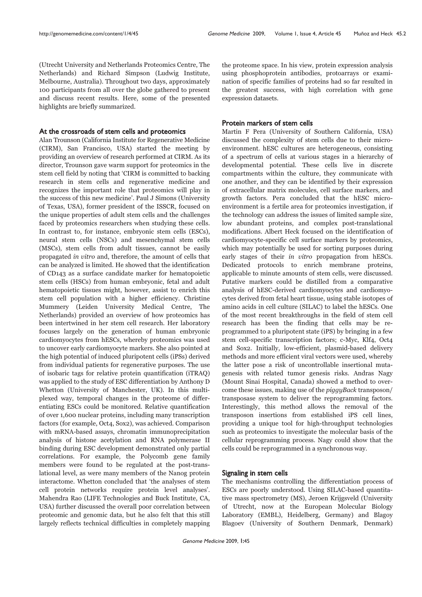(Utrecht University and Netherlands Proteomics Centre, The Netherlands) and Richard Simpson (Ludwig Institute, Melbourne, Australia). Throughout two days, approximately 100 participants from all over the globe gathered to present and discuss recent results. Here, some of the presented highlights are briefly summarized.

#### At the crossroads of stem cells and proteomics

Alan Trounson (California Institute for Regenerative Medicine (CIRM), San Francisco, USA) started the meeting by providing an overview of research performed at CIRM. As its director, Trounson gave warm support for proteomics in the stem cell field by noting that 'CIRM is committed to backing research in stem cells and regenerative medicine and recognizes the important role that proteomics will play in the success of this new medicine'. Paul J Simons (University of Texas, USA), former president of the ISSCR, focused on the unique properties of adult stem cells and the challenges faced by proteomics researchers when studying these cells. In contrast to, for instance, embryonic stem cells (ESCs), neural stem cells (NSCs) and mesenchymal stem cells (MSCs), stem cells from adult tissues, cannot be easily propagated in vitro and, therefore, the amount of cells that can be analyzed is limited. He showed that the identification of CD143 as a surface candidate marker for hematopoietic stem cells (HSCs) from human embryonic, fetal and adult hematopoietic tissues might, however, assist to enrich this stem cell population with a higher efficiency. Christine Mummery (Leiden University Medical Centre, The Netherlands) provided an overview of how proteomics has been intertwined in her stem cell research. Her laboratory focuses largely on the generation of human embryonic cardiomyocytes from hESCs, whereby proteomics was used to uncover early cardiomyocyte markers. She also pointed at the high potential of induced pluripotent cells (iPSs) derived from individual patients for regenerative purposes. The use of isobaric tags for relative protein quantification (iTRAQ) was applied to the study of ESC differentiation by Anthony D Whetton (University of Manchester, UK). In this multiplexed way, temporal changes in the proteome of differentiating ESCs could be monitored. Relative quantification of over 1,600 nuclear proteins, including many transcription factors (for example, Oct4, Sox2), was achieved. Comparison with mRNA-based assays, chromatin immunoprecipitation analysis of histone acetylation and RNA polymerase II binding during ESC development demonstrated only partial correlations. For example, the Polycomb gene family members were found to be regulated at the post-translational level, as were many members of the Nanog protein interactome. Whetton concluded that 'the analyses of stem cell protein networks require protein level analyses'. Mahendra Rao (LIFE Technologies and Buck Institute, CA, USA) further discussed the overall poor correlation between proteomic and genomic data, but he also felt that this still largely reflects technical difficulties in completely mapping

the proteome space. In his view, protein expression analysis using phosphoprotein antibodies, protoarrays or examination of specific families of proteins had so far resulted in the greatest success, with high correlation with gene expression datasets.

## Protein markers of stem cells

Martin F Pera (University of Southern California, USA) discussed the complexity of stem cells due to their microenvironment. hESC cultures are heterogeneous, consisting of a spectrum of cells at various stages in a hierarchy of developmental potential. These cells live in discrete compartments within the culture, they communicate with one another, and they can be identified by their expression of extracellular matrix molecules, cell surface markers, and growth factors. Pera concluded that the hESC microenvironment is a fertile area for proteomics investigation, if the technology can address the issues of limited sample size, low abundant proteins, and complex post-translational modifications. Albert Heck focused on the identification of cardiomyocyte-specific cell surface markers by proteomics, which may potentially be used for sorting purposes during early stages of their in vitro propagation from hESCs. Dedicated protocols to enrich membrane proteins, applicable to minute amounts of stem cells, were discussed. Putative markers could be distilled from a comparative analysis of hESC-derived cardiomyocytes and cardiomyocytes derived from fetal heart tissue, using stable isotopes of amino acids in cell culture (SILAC) to label the hESCs. One of the most recent breakthroughs in the field of stem cell research has been the finding that cells may be reprogrammed to a pluripotent state (iPS) by bringing in a few stem cell-specific transcription factors; c-Myc, Klf4, Oct4 and Sox2. Initially, low-efficient, plasmid-based delivery methods and more efficient viral vectors were used, whereby the latter pose a risk of uncontrollable insertional mutagenesis with related tumor genesis risks. Andras Nagy (Mount Sinai Hospital, Canada) showed a method to overcome these issues, making use of the piggyBack transposon/ transposase system to deliver the reprogramming factors. Interestingly, this method allows the removal of the transposon insertions from established iPS cell lines, providing a unique tool for high-throughput technologies such as proteomics to investigate the molecular basis of the cellular reprogramming process. Nagy could show that the cells could be reprogrammed in a synchronous way.

# Signaling in stem cells

The mechanisms controlling the differentiation process of ESCs are poorly understood. Using SILAC-based quantitative mass spectrometry (MS), Jeroen Krijgsveld (University of Utrecht, now at the European Molecular Biology Laboratory (EMBL), Heidelberg, Germany) and Blagoy Blagoev (University of Southern Denmark, Denmark)